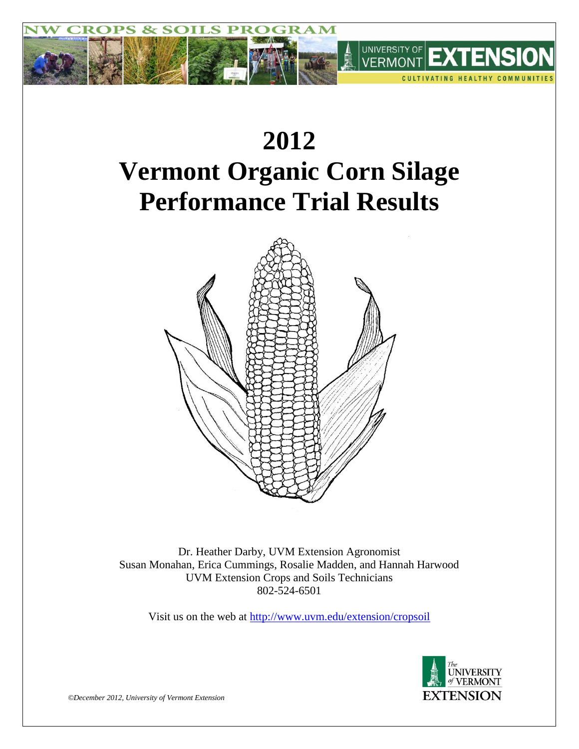

# **2012 Vermont Organic Corn Silage Performance Trial Results**



Dr. Heather Darby, UVM Extension Agronomist Susan Monahan, Erica Cummings, Rosalie Madden, and Hannah Harwood UVM Extension Crops and Soils Technicians 802-524-6501

Visit us on the web at<http://www.uvm.edu/extension/cropsoil>



*©December 2012, University of Vermont Extension*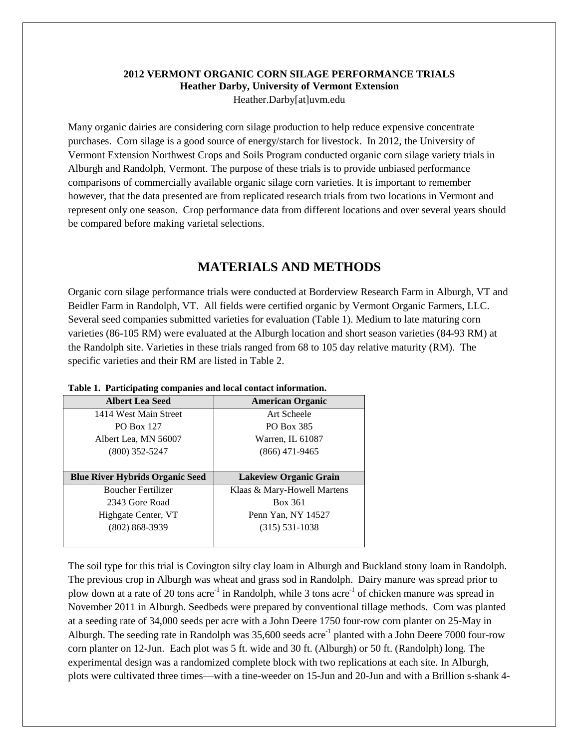## **2012 VERMONT ORGANIC CORN SILAGE PERFORMANCE TRIALS Heather Darby, University of Vermont Extension** Heather.Darby[at]uvm.edu

Many organic dairies are considering corn silage production to help reduce expensive concentrate purchases. Corn silage is a good source of energy/starch for livestock. In 2012, the University of Vermont Extension Northwest Crops and Soils Program conducted organic corn silage variety trials in Alburgh and Randolph, Vermont. The purpose of these trials is to provide unbiased performance comparisons of commercially available organic silage corn varieties. It is important to remember however, that the data presented are from replicated research trials from two locations in Vermont and represent only one season. Crop performance data from different locations and over several years should be compared before making varietal selections.

## **MATERIALS AND METHODS**

Organic corn silage performance trials were conducted at Borderview Research Farm in Alburgh, VT and Beidler Farm in Randolph, VT. All fields were certified organic by Vermont Organic Farmers, LLC. Several seed companies submitted varieties for evaluation (Table 1). Medium to late maturing corn varieties (86-105 RM) were evaluated at the Alburgh location and short season varieties (84-93 RM) at the Randolph site. Varieties in these trials ranged from 68 to 105 day relative maturity (RM). The specific varieties and their RM are listed in Table 2.

| <b>Albert Lea Seed</b>                 | <b>American Organic</b>       |
|----------------------------------------|-------------------------------|
| 1414 West Main Street                  | Art Scheele                   |
| <b>PO Box 127</b>                      | PO Box 385                    |
| Albert Lea, MN 56007                   | Warren, IL 61087              |
| $(800)$ 352-5247                       | $(866)$ 471-9465              |
|                                        |                               |
|                                        |                               |
| <b>Blue River Hybrids Organic Seed</b> | <b>Lakeview Organic Grain</b> |
| <b>Boucher Fertilizer</b>              | Klaas & Mary-Howell Martens   |
| 2343 Gore Road                         | Box 361                       |
| Highgate Center, VT                    | Penn Yan, NY 14527            |
| $(802) 868 - 3939$                     | $(315)$ 531-1038              |

#### **Table 1. Participating companies and local contact information.**

The soil type for this trial is Covington silty clay loam in Alburgh and Buckland stony loam in Randolph. The previous crop in Alburgh was wheat and grass sod in Randolph. Dairy manure was spread prior to plow down at a rate of 20 tons acre<sup>-1</sup> in Randolph, while 3 tons acre<sup>-1</sup> of chicken manure was spread in November 2011 in Alburgh. Seedbeds were prepared by conventional tillage methods. Corn was planted at a seeding rate of 34,000 seeds per acre with a John Deere 1750 four-row corn planter on 25-May in Alburgh. The seeding rate in Randolph was  $35,600$  seeds acre<sup>-1</sup> planted with a John Deere 7000 four-row corn planter on 12-Jun. Each plot was 5 ft. wide and 30 ft. (Alburgh) or 50 ft. (Randolph) long. The experimental design was a randomized complete block with two replications at each site. In Alburgh, plots were cultivated three times—with a tine-weeder on 15-Jun and 20-Jun and with a Brillion s-shank 4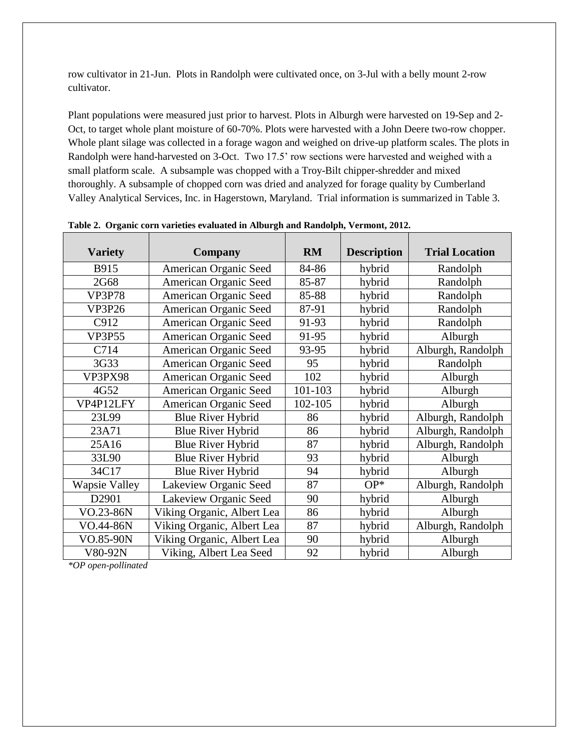row cultivator in 21-Jun. Plots in Randolph were cultivated once, on 3-Jul with a belly mount 2-row cultivator.

Plant populations were measured just prior to harvest. Plots in Alburgh were harvested on 19-Sep and 2- Oct, to target whole plant moisture of 60-70%. Plots were harvested with a John Deere two-row chopper. Whole plant silage was collected in a forage wagon and weighed on drive-up platform scales. The plots in Randolph were hand-harvested on 3-Oct. Two 17.5' row sections were harvested and weighed with a small platform scale. A subsample was chopped with a Troy-Bilt chipper-shredder and mixed thoroughly. A subsample of chopped corn was dried and analyzed for forage quality by Cumberland Valley Analytical Services, Inc. in Hagerstown, Maryland. Trial information is summarized in Table 3.

| <b>Variety</b>       | <b>Company</b>             | <b>RM</b> | <b>Description</b> | <b>Trial Location</b> |
|----------------------|----------------------------|-----------|--------------------|-----------------------|
| B915                 | American Organic Seed      | 84-86     | hybrid             | Randolph              |
| 2G68                 | American Organic Seed      | 85-87     | hybrid             | Randolph              |
| <b>VP3P78</b>        | American Organic Seed      | 85-88     | hybrid             | Randolph              |
| <b>VP3P26</b>        | American Organic Seed      | 87-91     | hybrid             | Randolph              |
| C912                 | American Organic Seed      | 91-93     | hybrid             | Randolph              |
| <b>VP3P55</b>        | American Organic Seed      | 91-95     | hybrid             | Alburgh               |
| C714                 | American Organic Seed      | 93-95     | hybrid             | Alburgh, Randolph     |
| 3G33                 | American Organic Seed      | 95        | hybrid             | Randolph              |
| VP3PX98              | American Organic Seed      | 102       | hybrid             | Alburgh               |
| 4G52                 | American Organic Seed      | 101-103   | hybrid             | Alburgh               |
| VP4P12LFY            | American Organic Seed      | 102-105   | hybrid             | Alburgh               |
| 23L99                | <b>Blue River Hybrid</b>   | 86        | hybrid             | Alburgh, Randolph     |
| 23A71                | <b>Blue River Hybrid</b>   | 86        | hybrid             | Alburgh, Randolph     |
| 25A16                | <b>Blue River Hybrid</b>   | 87        | hybrid             | Alburgh, Randolph     |
| 33L90                | <b>Blue River Hybrid</b>   | 93        | hybrid             | Alburgh               |
| 34C17                | <b>Blue River Hybrid</b>   | 94        | hybrid             | Alburgh               |
| <b>Wapsie Valley</b> | Lakeview Organic Seed      | 87        | $OP*$              | Alburgh, Randolph     |
| D2901                | Lakeview Organic Seed      | 90        | hybrid             | Alburgh               |
| VO.23-86N            | Viking Organic, Albert Lea | 86        | hybrid             | Alburgh               |
| VO.44-86N            | Viking Organic, Albert Lea | 87        | hybrid             | Alburgh, Randolph     |
| VO.85-90N            | Viking Organic, Albert Lea | 90        | hybrid             | Alburgh               |
| V80-92N              | Viking, Albert Lea Seed    | 92        | hybrid             | Alburgh               |

**Table 2. Organic corn varieties evaluated in Alburgh and Randolph, Vermont, 2012.**

*\*OP open-pollinated*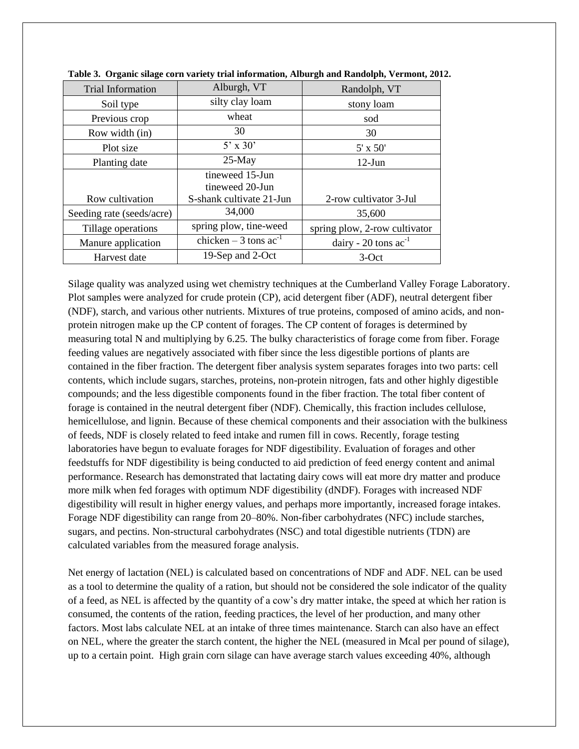| <b>Trial Information</b>  | Alburgh, VT                | Randolph, VT                       |
|---------------------------|----------------------------|------------------------------------|
| Soil type                 | silty clay loam            | stony loam                         |
| Previous crop             | wheat                      | sod                                |
| Row width (in)            | 30                         | 30                                 |
| Plot size                 | $5' \times 30'$            | $5' \times 50'$                    |
| Planting date             | $25$ -May                  | $12$ -Jun                          |
|                           | tineweed 15-Jun            |                                    |
|                           | tineweed 20-Jun            |                                    |
| Row cultivation           | S-shank cultivate 21-Jun   | 2-row cultivator 3-Jul             |
| Seeding rate (seeds/acre) | 34,000                     | 35,600                             |
| Tillage operations        | spring plow, tine-weed     | spring plow, 2-row cultivator      |
| Manure application        | chicken – 3 tons $ac^{-1}$ | dairy - $20 \text{ tons } ac^{-1}$ |
| Harvest date              | 19-Sep and 2-Oct           | $3-Oct$                            |

Silage quality was analyzed using wet chemistry techniques at the Cumberland Valley Forage Laboratory. Plot samples were analyzed for crude protein (CP), acid detergent fiber (ADF), neutral detergent fiber (NDF), starch, and various other nutrients. Mixtures of true proteins, composed of amino acids, and nonprotein nitrogen make up the CP content of forages. The CP content of forages is determined by measuring total N and multiplying by 6.25. The bulky characteristics of forage come from fiber. Forage feeding values are negatively associated with fiber since the less digestible portions of plants are contained in the fiber fraction. The detergent fiber analysis system separates forages into two parts: cell contents, which include sugars, starches, proteins, non-protein nitrogen, fats and other highly digestible compounds; and the less digestible components found in the fiber fraction. The total fiber content of forage is contained in the neutral detergent fiber (NDF). Chemically, this fraction includes cellulose, hemicellulose, and lignin. Because of these chemical components and their association with the bulkiness of feeds, NDF is closely related to feed intake and rumen fill in cows. Recently, forage testing laboratories have begun to evaluate forages for NDF digestibility. Evaluation of forages and other feedstuffs for NDF digestibility is being conducted to aid prediction of feed energy content and animal performance. Research has demonstrated that lactating dairy cows will eat more dry matter and produce more milk when fed forages with optimum NDF digestibility (dNDF). Forages with increased NDF digestibility will result in higher energy values, and perhaps more importantly, increased forage intakes. Forage NDF digestibility can range from 20–80%. Non-fiber carbohydrates (NFC) include starches, sugars, and pectins. Non-structural carbohydrates (NSC) and total digestible nutrients (TDN) are calculated variables from the measured forage analysis.

Net energy of lactation (NEL) is calculated based on concentrations of NDF and ADF. NEL can be used as a tool to determine the quality of a ration, but should not be considered the sole indicator of the quality of a feed, as NEL is affected by the quantity of a cow's dry matter intake, the speed at which her ration is consumed, the contents of the ration, feeding practices, the level of her production, and many other factors. Most labs calculate NEL at an intake of three times maintenance. Starch can also have an effect on NEL, where the greater the starch content, the higher the NEL (measured in Mcal per pound of silage), up to a certain point. High grain corn silage can have average starch values exceeding 40%, although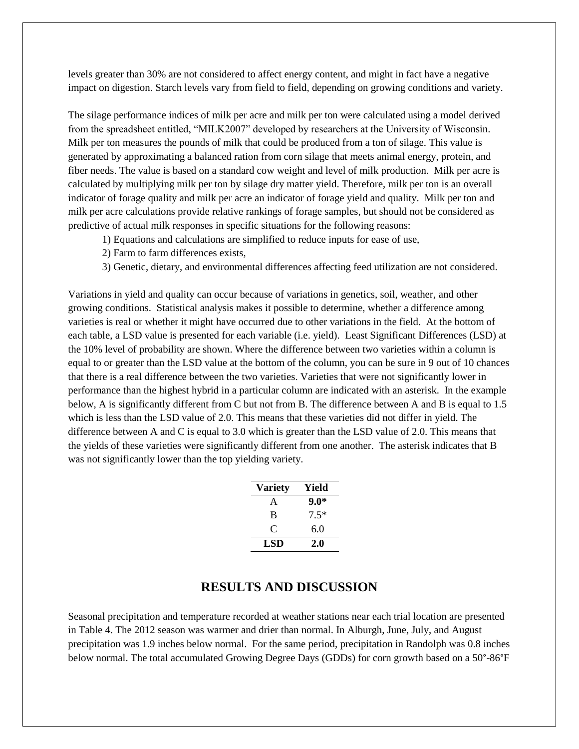levels greater than 30% are not considered to affect energy content, and might in fact have a negative impact on digestion. Starch levels vary from field to field, depending on growing conditions and variety.

The silage performance indices of milk per acre and milk per ton were calculated using a model derived from the spreadsheet entitled, "MILK2007" developed by researchers at the University of Wisconsin. Milk per ton measures the pounds of milk that could be produced from a ton of silage. This value is generated by approximating a balanced ration from corn silage that meets animal energy, protein, and fiber needs. The value is based on a standard cow weight and level of milk production. Milk per acre is calculated by multiplying milk per ton by silage dry matter yield. Therefore, milk per ton is an overall indicator of forage quality and milk per acre an indicator of forage yield and quality. Milk per ton and milk per acre calculations provide relative rankings of forage samples, but should not be considered as predictive of actual milk responses in specific situations for the following reasons:

- 1) Equations and calculations are simplified to reduce inputs for ease of use,
- 2) Farm to farm differences exists,
- 3) Genetic, dietary, and environmental differences affecting feed utilization are not considered.

Variations in yield and quality can occur because of variations in genetics, soil, weather, and other growing conditions. Statistical analysis makes it possible to determine, whether a difference among varieties is real or whether it might have occurred due to other variations in the field. At the bottom of each table, a LSD value is presented for each variable (i.e. yield). Least Significant Differences (LSD) at the 10% level of probability are shown. Where the difference between two varieties within a column is equal to or greater than the LSD value at the bottom of the column, you can be sure in 9 out of 10 chances that there is a real difference between the two varieties. Varieties that were not significantly lower in performance than the highest hybrid in a particular column are indicated with an asterisk. In the example below, A is significantly different from C but not from B. The difference between A and B is equal to 1.5 which is less than the LSD value of 2.0. This means that these varieties did not differ in yield. The difference between A and C is equal to 3.0 which is greater than the LSD value of 2.0. This means that the yields of these varieties were significantly different from one another. The asterisk indicates that B was not significantly lower than the top yielding variety.

| <b>Variety</b> | Yield  |
|----------------|--------|
| A              | $9.0*$ |
| B              | $7.5*$ |
| C              | 6.0    |
| LSD            | 2.0    |

## **RESULTS AND DISCUSSION**

Seasonal precipitation and temperature recorded at weather stations near each trial location are presented in Table 4. The 2012 season was warmer and drier than normal. In Alburgh, June, July, and August precipitation was 1.9 inches below normal. For the same period, precipitation in Randolph was 0.8 inches below normal. The total accumulated Growing Degree Days (GDDs) for corn growth based on a 50°-86°F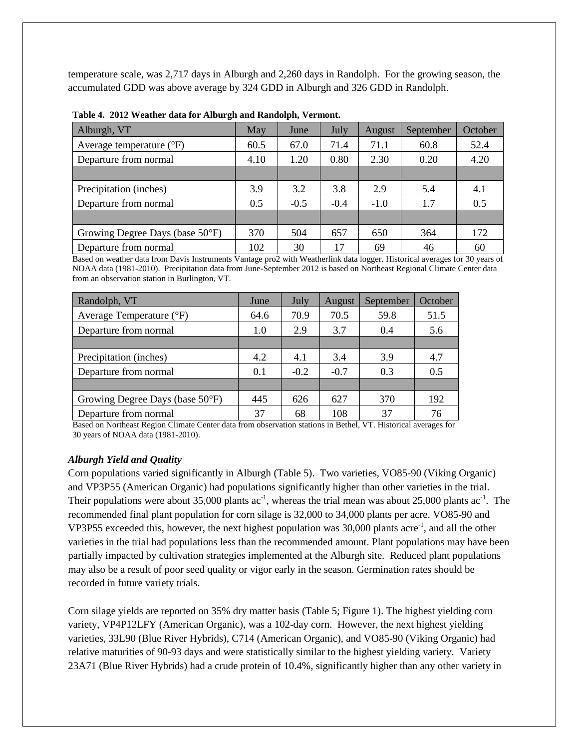temperature scale, was 2,717 days in Alburgh and 2,260 days in Randolph. For the growing season, the accumulated GDD was above average by 324 GDD in Alburgh and 326 GDD in Randolph.

| Alburgh, VT                       | May  | June   | July   | August | September | October |
|-----------------------------------|------|--------|--------|--------|-----------|---------|
| Average temperature $(^{\circ}F)$ | 60.5 | 67.0   | 71.4   | 71.1   | 60.8      | 52.4    |
| Departure from normal             | 4.10 | 1.20   | 0.80   | 2.30   | 0.20      | 4.20    |
|                                   |      |        |        |        |           |         |
| Precipitation (inches)            | 3.9  | 3.2    | 3.8    | 2.9    | 5.4       | 4.1     |
| Departure from normal             | 0.5  | $-0.5$ | $-0.4$ | $-1.0$ | 1.7       | 0.5     |
|                                   |      |        |        |        |           |         |
| Growing Degree Days (base 50°F)   | 370  | 504    | 657    | 650    | 364       | 172     |
| Departure from normal             | 102  | 30     | 17     | 69     | 46        | 60      |

|  |  |  | Table 4. 2012 Weather data for Alburgh and Randolph, Vermont. |  |
|--|--|--|---------------------------------------------------------------|--|
|--|--|--|---------------------------------------------------------------|--|

Based on weather data from Davis Instruments Vantage pro2 with Weatherlink data logger. Historical averages for 30 years of NOAA data (1981-2010). Precipitation data from June-September 2012 is based on Northeast Regional Climate Center data from an observation station in Burlington, VT.

| Randolph, VT                    | June | July   | August | September | October |
|---------------------------------|------|--------|--------|-----------|---------|
| Average Temperature (°F)        | 64.6 | 70.9   | 70.5   | 59.8      | 51.5    |
| Departure from normal           | 1.0  | 2.9    | 3.7    | 0.4       | 5.6     |
|                                 |      |        |        |           |         |
| Precipitation (inches)          | 4.2  | 4.1    | 3.4    | 3.9       | 4.7     |
| Departure from normal           | 0.1  | $-0.2$ | $-0.7$ | 0.3       | 0.5     |
|                                 |      |        |        |           |         |
| Growing Degree Days (base 50°F) | 445  | 626    | 627    | 370       | 192     |
| Departure from normal           | 37   | 68     | 108    | 37        | 76      |

Based on Northeast Region Climate Center data from observation stations in Bethel, VT. Historical averages for 30 years of NOAA data (1981-2010).

## *Alburgh Yield and Quality*

Corn populations varied significantly in Alburgh (Table 5). Two varieties, VO85-90 (Viking Organic) and VP3P55 (American Organic) had populations significantly higher than other varieties in the trial. Their populations were about 35,000 plants  $ac^{-1}$ , whereas the trial mean was about 25,000 plants  $ac^{-1}$ . The recommended final plant population for corn silage is 32,000 to 34,000 plants per acre. VO85-90 and VP3P55 exceeded this, however, the next highest population was  $30,000$  plants acre<sup>-1</sup>, and all the other varieties in the trial had populations less than the recommended amount. Plant populations may have been partially impacted by cultivation strategies implemented at the Alburgh site. Reduced plant populations may also be a result of poor seed quality or vigor early in the season. Germination rates should be recorded in future variety trials.

Corn silage yields are reported on 35% dry matter basis (Table 5; Figure 1). The highest yielding corn variety, VP4P12LFY (American Organic), was a 102-day corn. However, the next highest yielding varieties, 33L90 (Blue River Hybrids), C714 (American Organic), and VO85-90 (Viking Organic) had relative maturities of 90-93 days and were statistically similar to the highest yielding variety. Variety 23A71 (Blue River Hybrids) had a crude protein of 10.4%, significantly higher than any other variety in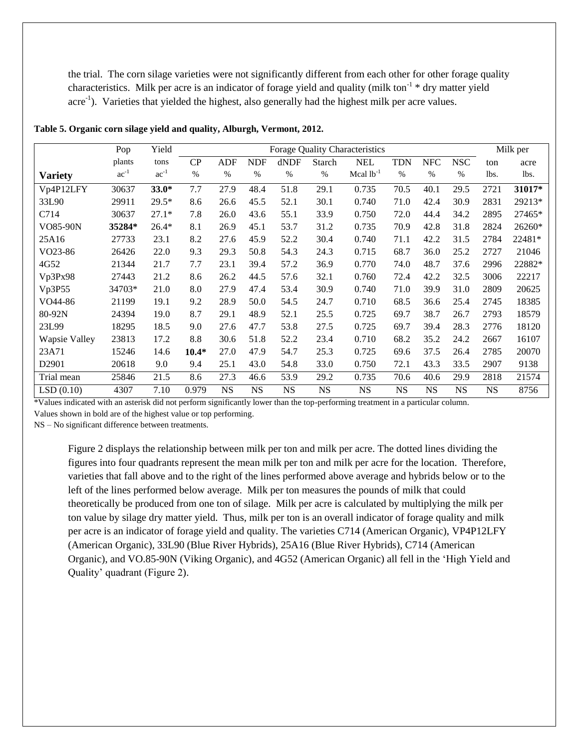the trial. The corn silage varieties were not significantly different from each other for other forage quality characteristics. Milk per acre is an indicator of forage yield and quality (milk ton<sup>-1</sup> \* dry matter yield acre<sup>-1</sup>). Varieties that yielded the highest, also generally had the highest milk per acre values.

|                      | Pop       | Yield     |         | Forage Quality Characteristics |            |           |           |                |            |            | Milk per   |      |        |
|----------------------|-----------|-----------|---------|--------------------------------|------------|-----------|-----------|----------------|------------|------------|------------|------|--------|
|                      | plants    | tons      | CP      | <b>ADF</b>                     | <b>NDF</b> | dNDF      | Starch    | <b>NEL</b>     | <b>TDN</b> | <b>NFC</b> | <b>NSC</b> | ton  | acre   |
| <b>Variety</b>       | $ac^{-1}$ | $ac^{-1}$ | $\%$    | $\%$                           | $\%$       | $\%$      | $\%$      | Mcal $lb^{-1}$ | $\%$       | $\%$       | %          | lbs. | lbs.   |
| Vp4P12LFY            | 30637     | $33.0*$   | 7.7     | 27.9                           | 48.4       | 51.8      | 29.1      | 0.735          | 70.5       | 40.1       | 29.5       | 2721 | 31017* |
| 33L90                | 29911     | $29.5*$   | 8.6     | 26.6                           | 45.5       | 52.1      | 30.1      | 0.740          | 71.0       | 42.4       | 30.9       | 2831 | 29213* |
| C714                 | 30637     | $27.1*$   | 7.8     | 26.0                           | 43.6       | 55.1      | 33.9      | 0.750          | 72.0       | 44.4       | 34.2       | 2895 | 27465* |
| VO85-90N             | 35284*    | $26.4*$   | 8.1     | 26.9                           | 45.1       | 53.7      | 31.2      | 0.735          | 70.9       | 42.8       | 31.8       | 2824 | 26260* |
| 25A16                | 27733     | 23.1      | 8.2     | 27.6                           | 45.9       | 52.2      | 30.4      | 0.740          | 71.1       | 42.2       | 31.5       | 2784 | 22481* |
| VO <sub>23</sub> -86 | 26426     | 22.0      | 9.3     | 29.3                           | 50.8       | 54.3      | 24.3      | 0.715          | 68.7       | 36.0       | 25.2       | 2727 | 21046  |
| 4G52                 | 21344     | 21.7      | 7.7     | 23.1                           | 39.4       | 57.2      | 36.9      | 0.770          | 74.0       | 48.7       | 37.6       | 2996 | 22882* |
| Vp3Px98              | 27443     | 21.2      | 8.6     | 26.2                           | 44.5       | 57.6      | 32.1      | 0.760          | 72.4       | 42.2       | 32.5       | 3006 | 22217  |
| Vp3P55               | 34703*    | 21.0      | 8.0     | 27.9                           | 47.4       | 53.4      | 30.9      | 0.740          | 71.0       | 39.9       | 31.0       | 2809 | 20625  |
| VO44-86              | 21199     | 19.1      | 9.2     | 28.9                           | 50.0       | 54.5      | 24.7      | 0.710          | 68.5       | 36.6       | 25.4       | 2745 | 18385  |
| 80-92N               | 24394     | 19.0      | 8.7     | 29.1                           | 48.9       | 52.1      | 25.5      | 0.725          | 69.7       | 38.7       | 26.7       | 2793 | 18579  |
| 23L99                | 18295     | 18.5      | 9.0     | 27.6                           | 47.7       | 53.8      | 27.5      | 0.725          | 69.7       | 39.4       | 28.3       | 2776 | 18120  |
| Wapsie Valley        | 23813     | 17.2      | 8.8     | 30.6                           | 51.8       | 52.2      | 23.4      | 0.710          | 68.2       | 35.2       | 24.2       | 2667 | 16107  |
| 23A71                | 15246     | 14.6      | $10.4*$ | 27.0                           | 47.9       | 54.7      | 25.3      | 0.725          | 69.6       | 37.5       | 26.4       | 2785 | 20070  |
| D <sub>2901</sub>    | 20618     | 9.0       | 9.4     | 25.1                           | 43.0       | 54.8      | 33.0      | 0.750          | 72.1       | 43.3       | 33.5       | 2907 | 9138   |
| Trial mean           | 25846     | 21.5      | 8.6     | 27.3                           | 46.6       | 53.9      | 29.2      | 0.735          | 70.6       | 40.6       | 29.9       | 2818 | 21574  |
| LSD(0.10)            | 4307      | 7.10      | 0.979   | <b>NS</b>                      | <b>NS</b>  | <b>NS</b> | <b>NS</b> | <b>NS</b>      | <b>NS</b>  | <b>NS</b>  | <b>NS</b>  | NS   | 8756   |

**Table 5. Organic corn silage yield and quality, Alburgh, Vermont, 2012.**

\*Values indicated with an asterisk did not perform significantly lower than the top-performing treatment in a particular column.

Values shown in bold are of the highest value or top performing.

NS – No significant difference between treatments.

Figure 2 displays the relationship between milk per ton and milk per acre. The dotted lines dividing the figures into four quadrants represent the mean milk per ton and milk per acre for the location. Therefore, varieties that fall above and to the right of the lines performed above average and hybrids below or to the left of the lines performed below average. Milk per ton measures the pounds of milk that could theoretically be produced from one ton of silage. Milk per acre is calculated by multiplying the milk per ton value by silage dry matter yield. Thus, milk per ton is an overall indicator of forage quality and milk per acre is an indicator of forage yield and quality. The varieties C714 (American Organic), VP4P12LFY (American Organic), 33L90 (Blue River Hybrids), 25A16 (Blue River Hybrids), C714 (American Organic), and VO.85-90N (Viking Organic), and 4G52 (American Organic) all fell in the 'High Yield and Quality' quadrant (Figure 2).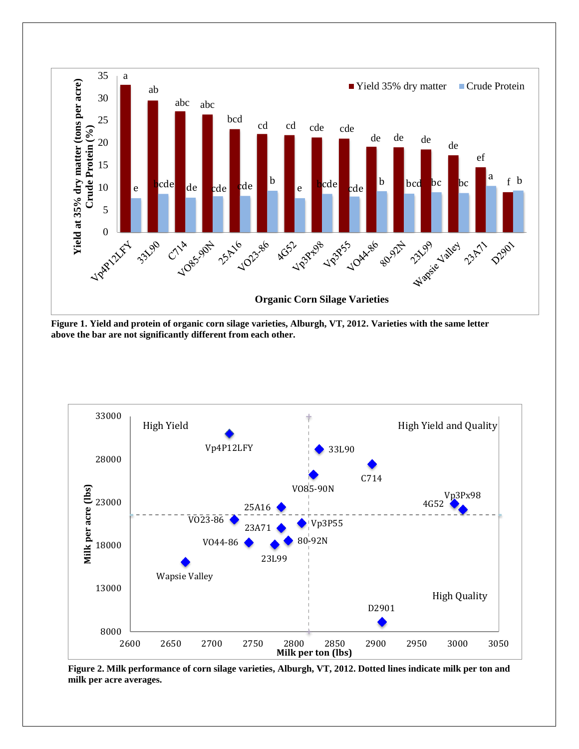

**Figure 1. Yield and protein of organic corn silage varieties, Alburgh, VT, 2012. Varieties with the same letter above the bar are not significantly different from each other.** 



**Figure 2. Milk performance of corn silage varieties, Alburgh, VT, 2012. Dotted lines indicate milk per ton and milk per acre averages.**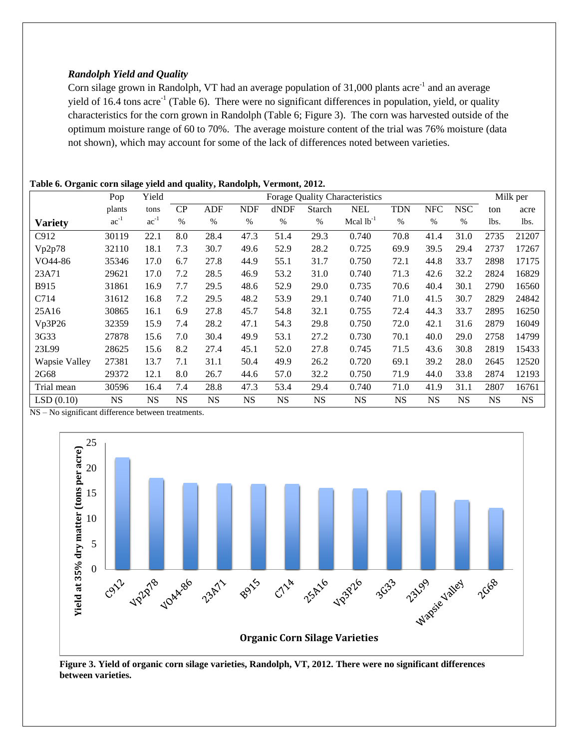## *Randolph Yield and Quality*

Corn silage grown in Randolph, VT had an average population of 31,000 plants acre<sup>-1</sup> and an average yield of 16.4 tons acre<sup>-1</sup> (Table 6). There were no significant differences in population, yield, or quality characteristics for the corn grown in Randolph (Table 6; Figure 3). The corn was harvested outside of the optimum moisture range of 60 to 70%. The average moisture content of the trial was 76% moisture (data not shown), which may account for some of the lack of differences noted between varieties.

## **Table 6. Organic corn silage yield and quality, Randolph, Vermont, 2012.**

|                | Pop       | Yield     |           | <b>Forage Quality Characteristics</b> |            |           |           |                |            |            |            | Milk per  |           |
|----------------|-----------|-----------|-----------|---------------------------------------|------------|-----------|-----------|----------------|------------|------------|------------|-----------|-----------|
|                | plants    | tons      | CP        | ADF                                   | <b>NDF</b> | dNDF      | Starch    | <b>NEL</b>     | <b>TDN</b> | <b>NFC</b> | <b>NSC</b> | ton       | acre      |
| <b>Variety</b> | $ac^{-1}$ | $ac^{-1}$ | %         | $\%$                                  | $\%$       | $\%$      | %         | Mcal $lb^{-1}$ | $\%$       | $\%$       | $\%$       | lbs.      | lbs.      |
| C912           | 30119     | 22.1      | 8.0       | 28.4                                  | 47.3       | 51.4      | 29.3      | 0.740          | 70.8       | 41.4       | 31.0       | 2735      | 21207     |
| Vp2p78         | 32110     | 18.1      | 7.3       | 30.7                                  | 49.6       | 52.9      | 28.2      | 0.725          | 69.9       | 39.5       | 29.4       | 2737      | 17267     |
| VO44-86        | 35346     | 17.0      | 6.7       | 27.8                                  | 44.9       | 55.1      | 31.7      | 0.750          | 72.1       | 44.8       | 33.7       | 2898      | 17175     |
| 23A71          | 29621     | 17.0      | 7.2       | 28.5                                  | 46.9       | 53.2      | 31.0      | 0.740          | 71.3       | 42.6       | 32.2       | 2824      | 16829     |
| B915           | 31861     | 16.9      | 7.7       | 29.5                                  | 48.6       | 52.9      | 29.0      | 0.735          | 70.6       | 40.4       | 30.1       | 2790      | 16560     |
| C714           | 31612     | 16.8      | 7.2       | 29.5                                  | 48.2       | 53.9      | 29.1      | 0.740          | 71.0       | 41.5       | 30.7       | 2829      | 24842     |
| 25A16          | 30865     | 16.1      | 6.9       | 27.8                                  | 45.7       | 54.8      | 32.1      | 0.755          | 72.4       | 44.3       | 33.7       | 2895      | 16250     |
| Vp3P26         | 32359     | 15.9      | 7.4       | 28.2                                  | 47.1       | 54.3      | 29.8      | 0.750          | 72.0       | 42.1       | 31.6       | 2879      | 16049     |
| 3G33           | 27878     | 15.6      | 7.0       | 30.4                                  | 49.9       | 53.1      | 27.2      | 0.730          | 70.1       | 40.0       | 29.0       | 2758      | 14799     |
| 23L99          | 28625     | 15.6      | 8.2       | 27.4                                  | 45.1       | 52.0      | 27.8      | 0.745          | 71.5       | 43.6       | 30.8       | 2819      | 15433     |
| Wapsie Valley  | 27381     | 13.7      | 7.1       | 31.1                                  | 50.4       | 49.9      | 26.2      | 0.720          | 69.1       | 39.2       | 28.0       | 2645      | 12520     |
| 2G68           | 29372     | 12.1      | 8.0       | 26.7                                  | 44.6       | 57.0      | 32.2      | 0.750          | 71.9       | 44.0       | 33.8       | 2874      | 12193     |
| Trial mean     | 30596     | 16.4      | 7.4       | 28.8                                  | 47.3       | 53.4      | 29.4      | 0.740          | 71.0       | 41.9       | 31.1       | 2807      | 16761     |
| LSD(0.10)      | <b>NS</b> | <b>NS</b> | <b>NS</b> | <b>NS</b>                             | <b>NS</b>  | <b>NS</b> | <b>NS</b> | <b>NS</b>      | <b>NS</b>  | NS         | <b>NS</b>  | <b>NS</b> | <b>NS</b> |

NS – No significant difference between treatments.



**Figure 3. Yield of organic corn silage varieties, Randolph, VT, 2012. There were no significant differences between varieties.**